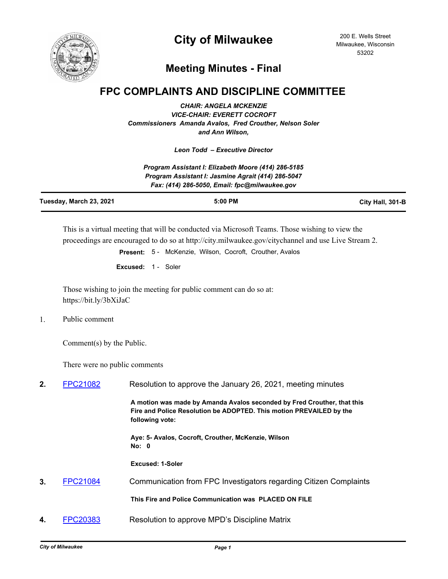

## **City of Milwaukee**

## **Meeting Minutes - Final**

## **FPC COMPLAINTS AND DISCIPLINE COMMITTEE**

*CHAIR: ANGELA MCKENZIE VICE-CHAIR: EVERETT COCROFT Commissioners Amanda Avalos, Fred Crouther, Nelson Soler and Ann Wilson,*

*Leon Todd – Executive Director*

|                         | Program Assistant I: Elizabeth Moore (414) 286-5185                                                 |                  |
|-------------------------|-----------------------------------------------------------------------------------------------------|------------------|
|                         | Program Assistant I: Jasmine Agrait (414) 286-5047<br>Fax: (414) 286-5050, Email: fpc@milwaukee.gov |                  |
| Tuesday, March 23, 2021 | $5:00$ PM                                                                                           | City Hall, 301-B |

This is a virtual meeting that will be conducted via Microsoft Teams. Those wishing to view the proceedings are encouraged to do so at http://city.milwaukee.gov/citychannel and use Live Stream 2.

**Present:** 5 - McKenzie, Wilson, Cocroft, Crouther, Avalos

**Excused:** 1 - Soler

Those wishing to join the meeting for public comment can do so at: https://bit.ly/3bXiJaC

1. Public comment

Comment(s) by the Public.

There were no public comments

| 2. | <b>FPC21082</b> | Resolution to approve the January 26, 2021, meeting minutes                                                                                                       |
|----|-----------------|-------------------------------------------------------------------------------------------------------------------------------------------------------------------|
|    |                 | A motion was made by Amanda Avalos seconded by Fred Crouther, that this<br>Fire and Police Resolution be ADOPTED. This motion PREVAILED by the<br>following vote: |
|    |                 | Aye: 5- Avalos, Cocroft, Crouther, McKenzie, Wilson<br>No: 0                                                                                                      |
|    |                 | Excused: 1-Soler                                                                                                                                                  |
| 3. | <b>FPC21084</b> | Communication from FPC Investigators regarding Citizen Complaints                                                                                                 |
|    |                 | This Fire and Police Communication was PLACED ON FILE                                                                                                             |
| 4. | FPC20383        | Resolution to approve MPD's Discipline Matrix                                                                                                                     |